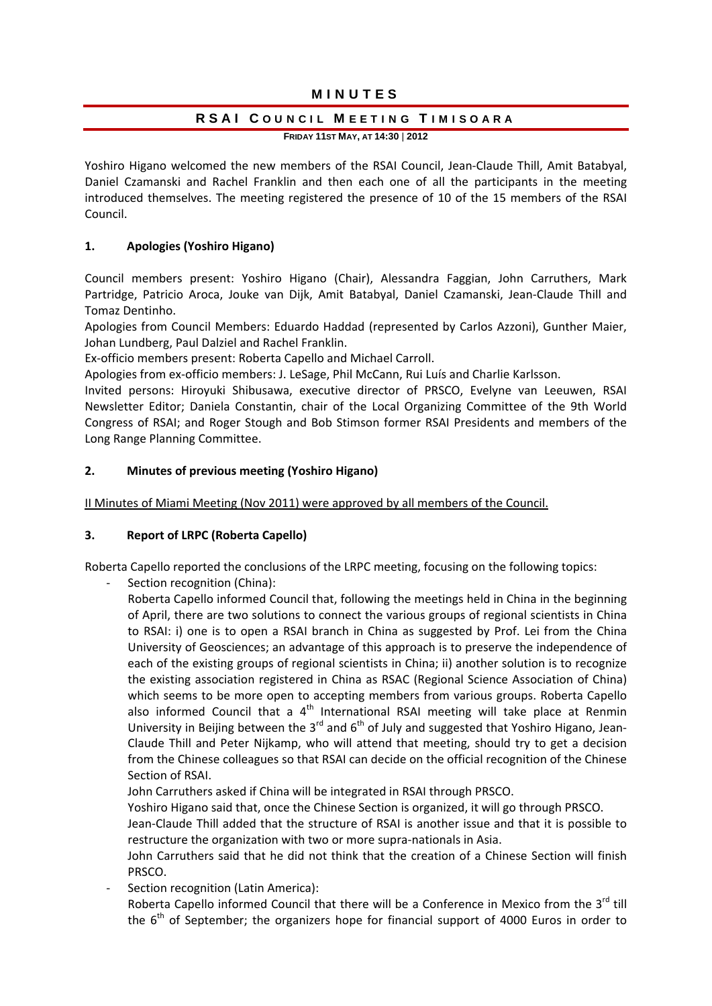# MINUTES

# RSAI COUNCIL MEETING TIMISOARA

**FRIDAY 11ST MAY, AT 14:30** | **2012**

Yoshiro Higano welcomed the new members of the RSAI Council, Jean-Claude Thill, Amit Batabyal, Daniel Czamanski and Rachel Franklin and then each one of all the participants in the meeting introduced themselves. The meeting registered the presence of 10 of the 15 members of the RSAI Council.

# **1. Apologies (Yoshiro Higano)**

Council members present: Yoshiro Higano (Chair), Alessandra Faggian, John Carruthers, Mark Partridge, Patricio Aroca, Jouke van Dijk, Amit Batabyal, Daniel Czamanski, Jean‐Claude Thill and Tomaz Dentinho.

Apologies from Council Members: Eduardo Haddad (represented by Carlos Azzoni), Gunther Maier, Johan Lundberg, Paul Dalziel and Rachel Franklin.

Ex‐officio members present: Roberta Capello and Michael Carroll.

Apologies from ex‐officio members: J. LeSage, Phil McCann, Rui Luís and Charlie Karlsson.

Invited persons: Hiroyuki Shibusawa, executive director of PRSCO, Evelyne van Leeuwen, RSAI Newsletter Editor; Daniela Constantin, chair of the Local Organizing Committee of the 9th World Congress of RSAI; and Roger Stough and Bob Stimson former RSAI Presidents and members of the Long Range Planning Committee.

# **2. Minutes of previous meeting (Yoshiro Higano)**

II Minutes of Miami Meeting (Nov 2011) were approved by all members of the Council.

# **3. Report of LRPC (Roberta Capello)**

Roberta Capello reported the conclusions of the LRPC meeting, focusing on the following topics:

Section recognition (China):

Roberta Capello informed Council that, following the meetings held in China in the beginning of April, there are two solutions to connect the various groups of regional scientists in China to RSAI: i) one is to open a RSAI branch in China as suggested by Prof. Lei from the China University of Geosciences; an advantage of this approach is to preserve the independence of each of the existing groups of regional scientists in China; ii) another solution is to recognize the existing association registered in China as RSAC (Regional Science Association of China) which seems to be more open to accepting members from various groups. Roberta Capello also informed Council that a  $4<sup>th</sup>$  International RSAI meeting will take place at Renmin University in Beijing between the 3<sup>rd</sup> and 6<sup>th</sup> of July and suggested that Yoshiro Higano, Jean-Claude Thill and Peter Nijkamp, who will attend that meeting, should try to get a decision from the Chinese colleagues so that RSAI can decide on the official recognition of the Chinese Section of RSAI.

John Carruthers asked if China will be integrated in RSAI through PRSCO.

Yoshiro Higano said that, once the Chinese Section is organized, it will go through PRSCO.

Jean‐Claude Thill added that the structure of RSAI is another issue and that it is possible to restructure the organization with two or more supra‐nationals in Asia.

John Carruthers said that he did not think that the creation of a Chinese Section will finish PRSCO.

Section recognition (Latin America):

Roberta Capello informed Council that there will be a Conference in Mexico from the  $3^{rd}$  till the  $6<sup>th</sup>$  of September; the organizers hope for financial support of 4000 Euros in order to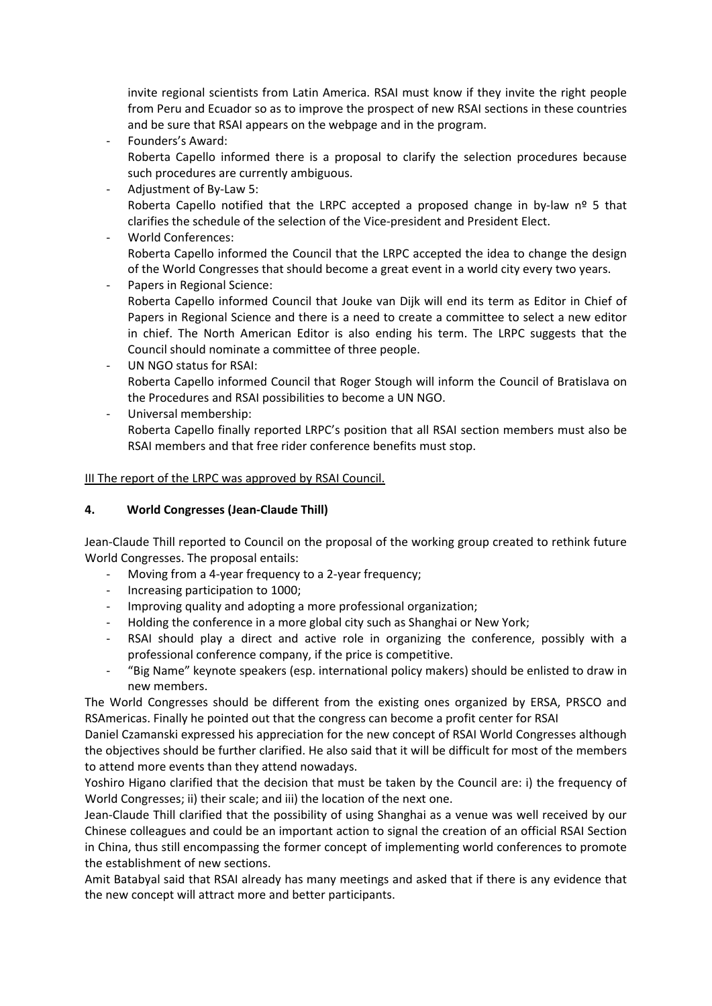invite regional scientists from Latin America. RSAI must know if they invite the right people from Peru and Ecuador so as to improve the prospect of new RSAI sections in these countries and be sure that RSAI appears on the webpage and in the program.

- ‐ Founders's Award: Roberta Capello informed there is a proposal to clarify the selection procedures because such procedures are currently ambiguous.
- ‐ Adjustment of By‐Law 5: Roberta Capello notified that the LRPC accepted a proposed change in by-law  $n^{\circ}$  5 that clarifies the schedule of the selection of the Vice‐president and President Elect.
- ‐ World Conferences: Roberta Capello informed the Council that the LRPC accepted the idea to change the design of the World Congresses that should become a great event in a world city every two years.
- ‐ Papers in Regional Science: Roberta Capello informed Council that Jouke van Dijk will end its term as Editor in Chief of Papers in Regional Science and there is a need to create a committee to select a new editor in chief. The North American Editor is also ending his term. The LRPC suggests that the Council should nominate a committee of three people.
- UN NGO status for RSAI: Roberta Capello informed Council that Roger Stough will inform the Council of Bratislava on the Procedures and RSAI possibilities to become a UN NGO.
- ‐ Universal membership: Roberta Capello finally reported LRPC's position that all RSAI section members must also be RSAI members and that free rider conference benefits must stop.

# III The report of the LRPC was approved by RSAI Council.

# **4. World Congresses (Jean‐Claude Thill)**

Jean‐Claude Thill reported to Council on the proposal of the working group created to rethink future World Congresses. The proposal entails:

- ‐ Moving from a 4‐year frequency to a 2‐year frequency;
- ‐ Increasing participation to 1000;
- ‐ Improving quality and adopting a more professional organization;
- ‐ Holding the conference in a more global city such as Shanghai or New York;
- ‐ RSAI should play a direct and active role in organizing the conference, possibly with a professional conference company, if the price is competitive.
- ‐ "Big Name" keynote speakers (esp. international policy makers) should be enlisted to draw in new members.

The World Congresses should be different from the existing ones organized by ERSA, PRSCO and RSAmericas. Finally he pointed out that the congress can become a profit center for RSAI

Daniel Czamanski expressed his appreciation for the new concept of RSAI World Congresses although the objectives should be further clarified. He also said that it will be difficult for most of the members to attend more events than they attend nowadays.

Yoshiro Higano clarified that the decision that must be taken by the Council are: i) the frequency of World Congresses; ii) their scale; and iii) the location of the next one.

Jean‐Claude Thill clarified that the possibility of using Shanghai as a venue was well received by our Chinese colleagues and could be an important action to signal the creation of an official RSAI Section in China, thus still encompassing the former concept of implementing world conferences to promote the establishment of new sections.

Amit Batabyal said that RSAI already has many meetings and asked that if there is any evidence that the new concept will attract more and better participants.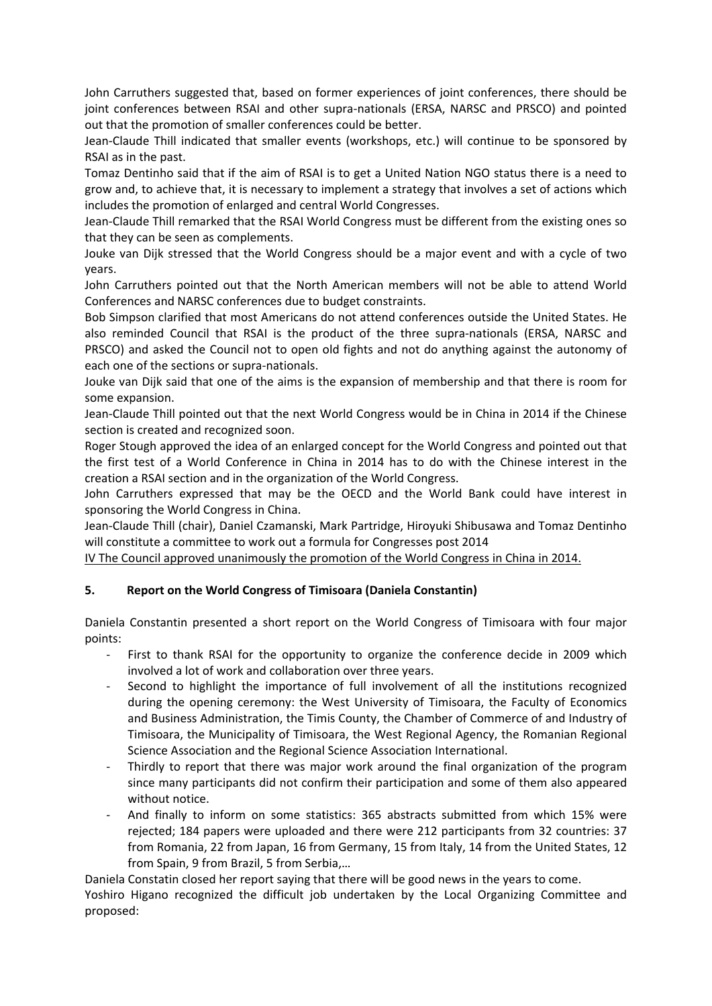John Carruthers suggested that, based on former experiences of joint conferences, there should be joint conferences between RSAI and other supra-nationals (ERSA, NARSC and PRSCO) and pointed out that the promotion of smaller conferences could be better.

Jean‐Claude Thill indicated that smaller events (workshops, etc.) will continue to be sponsored by RSAI as in the past.

Tomaz Dentinho said that if the aim of RSAI is to get a United Nation NGO status there is a need to grow and, to achieve that, it is necessary to implement a strategy that involves a set of actions which includes the promotion of enlarged and central World Congresses.

Jean-Claude Thill remarked that the RSAI World Congress must be different from the existing ones so that they can be seen as complements.

Jouke van Dijk stressed that the World Congress should be a major event and with a cycle of two years.

John Carruthers pointed out that the North American members will not be able to attend World Conferences and NARSC conferences due to budget constraints.

Bob Simpson clarified that most Americans do not attend conferences outside the United States. He also reminded Council that RSAI is the product of the three supra‐nationals (ERSA, NARSC and PRSCO) and asked the Council not to open old fights and not do anything against the autonomy of each one of the sections or supra‐nationals.

Jouke van Dijk said that one of the aims is the expansion of membership and that there is room for some expansion.

Jean‐Claude Thill pointed out that the next World Congress would be in China in 2014 if the Chinese section is created and recognized soon.

Roger Stough approved the idea of an enlarged concept for the World Congress and pointed out that the first test of a World Conference in China in 2014 has to do with the Chinese interest in the creation a RSAI section and in the organization of the World Congress.

John Carruthers expressed that may be the OECD and the World Bank could have interest in sponsoring the World Congress in China.

Jean‐Claude Thill (chair), Daniel Czamanski, Mark Partridge, Hiroyuki Shibusawa and Tomaz Dentinho will constitute a committee to work out a formula for Congresses post 2014

IV The Council approved unanimously the promotion of the World Congress in China in 2014.

# **5. Report on the World Congress of Timisoara (Daniela Constantin)**

Daniela Constantin presented a short report on the World Congress of Timisoara with four major points:

- First to thank RSAI for the opportunity to organize the conference decide in 2009 which involved a lot of work and collaboration over three years.
- ‐ Second to highlight the importance of full involvement of all the institutions recognized during the opening ceremony: the West University of Timisoara, the Faculty of Economics and Business Administration, the Timis County, the Chamber of Commerce of and Industry of Timisoara, the Municipality of Timisoara, the West Regional Agency, the Romanian Regional Science Association and the Regional Science Association International.
- Thirdly to report that there was major work around the final organization of the program since many participants did not confirm their participation and some of them also appeared without notice.
- ‐ And finally to inform on some statistics: 365 abstracts submitted from which 15% were rejected; 184 papers were uploaded and there were 212 participants from 32 countries: 37 from Romania, 22 from Japan, 16 from Germany, 15 from Italy, 14 from the United States, 12 from Spain, 9 from Brazil, 5 from Serbia,…

Daniela Constatin closed her report saying that there will be good news in the years to come.

Yoshiro Higano recognized the difficult job undertaken by the Local Organizing Committee and proposed: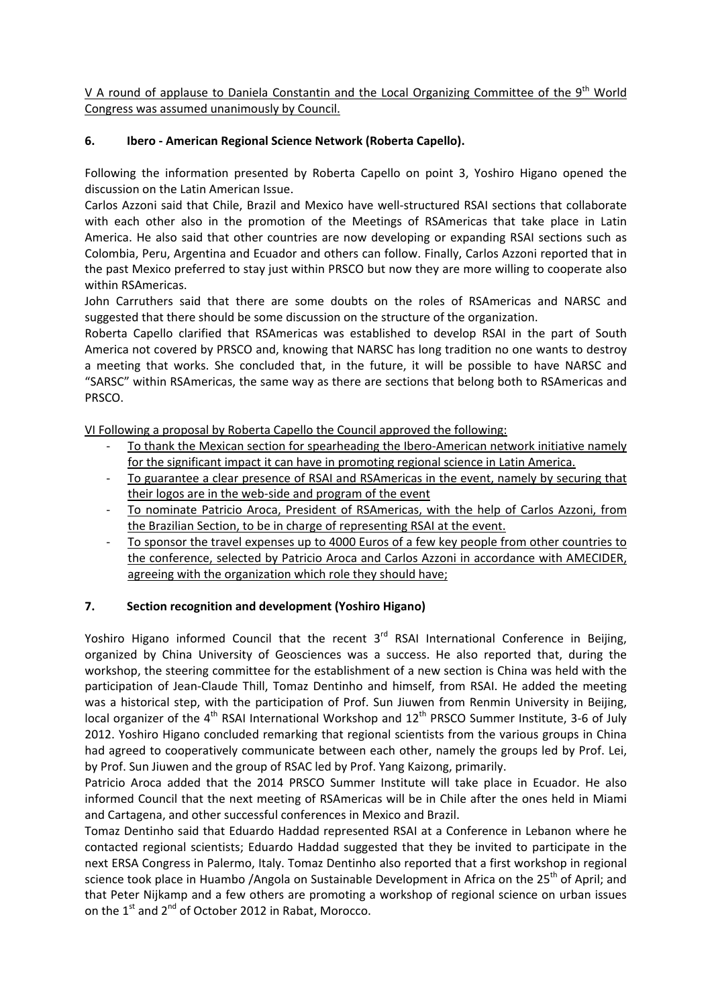V A round of applause to Daniela Constantin and the Local Organizing Committee of the 9<sup>th</sup> World Congress was assumed unanimously by Council.

# **6. Ibero ‐ American Regional Science Network (Roberta Capello).**

Following the information presented by Roberta Capello on point 3, Yoshiro Higano opened the discussion on the Latin American Issue.

Carlos Azzoni said that Chile, Brazil and Mexico have well‐structured RSAI sections that collaborate with each other also in the promotion of the Meetings of RSAmericas that take place in Latin America. He also said that other countries are now developing or expanding RSAI sections such as Colombia, Peru, Argentina and Ecuador and others can follow. Finally, Carlos Azzoni reported that in the past Mexico preferred to stay just within PRSCO but now they are more willing to cooperate also within RSAmericas.

John Carruthers said that there are some doubts on the roles of RSAmericas and NARSC and suggested that there should be some discussion on the structure of the organization.

Roberta Capello clarified that RSAmericas was established to develop RSAI in the part of South America not covered by PRSCO and, knowing that NARSC has long tradition no one wants to destroy a meeting that works. She concluded that, in the future, it will be possible to have NARSC and "SARSC" within RSAmericas, the same way as there are sections that belong both to RSAmericas and PRSCO.

VI Following a proposal by Roberta Capello the Council approved the following:

- To thank the Mexican section for spearheading the Ibero-American network initiative namely for the significant impact it can have in promoting regional science in Latin America.
- ‐ To guarantee a clear presence of RSAI and RSAmericas in the event, namely by securing that their logos are in the web‐side and program of the event
- ‐ To nominate Patricio Aroca, President of RSAmericas, with the help of Carlos Azzoni, from the Brazilian Section, to be in charge of representing RSAI at the event.
- To sponsor the travel expenses up to 4000 Euros of a few key people from other countries to the conference, selected by Patricio Aroca and Carlos Azzoni in accordance with AMECIDER, agreeing with the organization which role they should have;

# **7. Section recognition and development (Yoshiro Higano)**

Yoshiro Higano informed Council that the recent  $3<sup>rd</sup>$  RSAI International Conference in Beijing, organized by China University of Geosciences was a success. He also reported that, during the workshop, the steering committee for the establishment of a new section is China was held with the participation of Jean‐Claude Thill, Tomaz Dentinho and himself, from RSAI. He added the meeting was a historical step, with the participation of Prof. Sun Jiuwen from Renmin University in Beijing, local organizer of the 4<sup>th</sup> RSAI International Workshop and 12<sup>th</sup> PRSCO Summer Institute, 3-6 of July 2012. Yoshiro Higano concluded remarking that regional scientists from the various groups in China had agreed to cooperatively communicate between each other, namely the groups led by Prof. Lei, by Prof. Sun Jiuwen and the group of RSAC led by Prof. Yang Kaizong, primarily.

Patricio Aroca added that the 2014 PRSCO Summer Institute will take place in Ecuador. He also informed Council that the next meeting of RSAmericas will be in Chile after the ones held in Miami and Cartagena, and other successful conferences in Mexico and Brazil.

Tomaz Dentinho said that Eduardo Haddad represented RSAI at a Conference in Lebanon where he contacted regional scientists; Eduardo Haddad suggested that they be invited to participate in the next ERSA Congress in Palermo, Italy. Tomaz Dentinho also reported that a first workshop in regional science took place in Huambo /Angola on Sustainable Development in Africa on the  $25<sup>th</sup>$  of April; and that Peter Nijkamp and a few others are promoting a workshop of regional science on urban issues on the 1<sup>st</sup> and 2<sup>nd</sup> of October 2012 in Rabat, Morocco.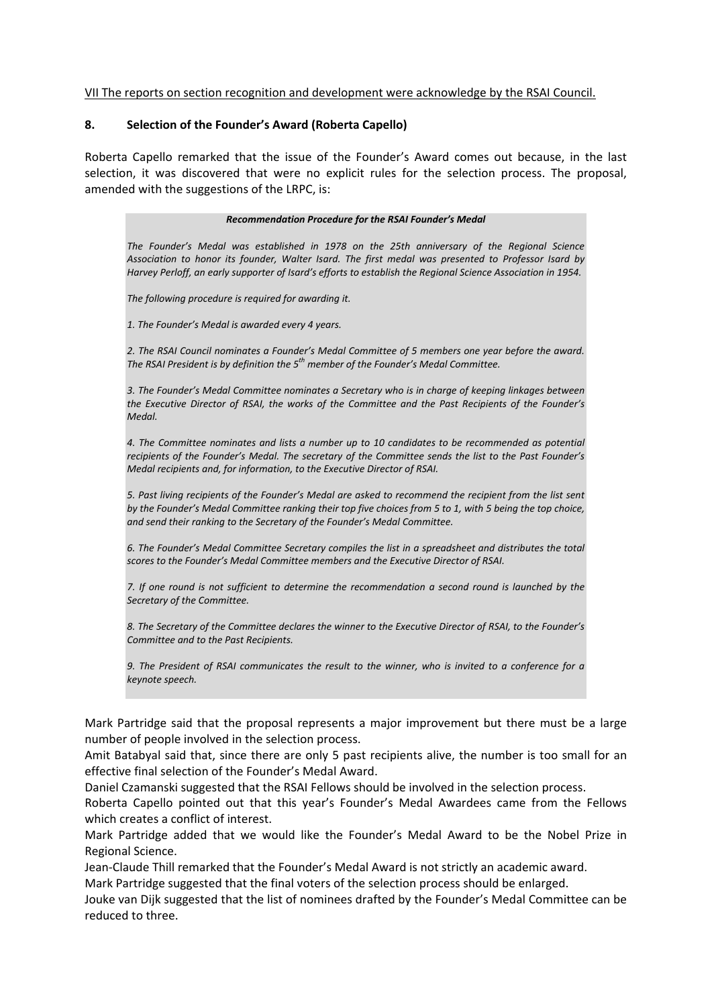### VII The reports on section recognition and development were acknowledge by the RSAI Council.

### **8. Selection of the Founder's Award (Roberta Capello)**

Roberta Capello remarked that the issue of the Founder's Award comes out because, in the last selection, it was discovered that were no explicit rules for the selection process. The proposal, amended with the suggestions of the LRPC, is:

#### *Recommendation Procedure for the RSAI Founder's Medal*

*The Founder's Medal was established in 1978 on the 25th anniversary of the Regional Science Association to honor its founder, Walter Isard. The first medal was presented to Professor Isard by Harvey Perloff, an early supporter of Isard's efforts to establish the Regional Science Association in 1954.*

*The following procedure is required for awarding it.* 

*1. The Founder's Medal is awarded every 4 years.*

*2. The RSAI Council nominates a Founder's Medal Committee of 5 members one year before the award. The RSAI President is by definition the 5th member of the Founder's Medal Committee.*

*3. The Founder's Medal Committee nominates a Secretary who is in charge of keeping linkages between the Executive Director of RSAI, the works of the Committee and the Past Recipients of the Founder's Medal.*

*4. The Committee nominates and lists a number up to 10 candidates to be recommended as potential recipients of the Founder's Medal. The secretary of the Committee sends the list to the Past Founder's Medal recipients and, for information, to the Executive Director of RSAI.*

5. Past living recipients of the Founder's Medal are asked to recommend the recipient from the list sent by the Founder's Medal Committee ranking their top five choices from 5 to 1, with 5 being the top choice, *and send their ranking to the Secretary of the Founder's Medal Committee.*

*6. The Founder's Medal Committee Secretary compiles the list in a spreadsheet and distributes the total scores to the Founder's Medal Committee members and the Executive Director of RSAI.*

7. If one round is not sufficient to determine the recommendation a second round is launched by the *Secretary of the Committee.*

8. The Secretary of the Committee declares the winner to the Executive Director of RSAI, to the Founder's *Committee and to the Past Recipients.*

9. The President of RSAI communicates the result to the winner, who is invited to a conference for a *keynote speech.*

Mark Partridge said that the proposal represents a major improvement but there must be a large number of people involved in the selection process.

Amit Batabyal said that, since there are only 5 past recipients alive, the number is too small for an effective final selection of the Founder's Medal Award.

Daniel Czamanski suggested that the RSAI Fellows should be involved in the selection process.

Roberta Capello pointed out that this year's Founder's Medal Awardees came from the Fellows which creates a conflict of interest.

Mark Partridge added that we would like the Founder's Medal Award to be the Nobel Prize in Regional Science.

Jean‐Claude Thill remarked that the Founder's Medal Award is not strictly an academic award.

Mark Partridge suggested that the final voters of the selection process should be enlarged.

Jouke van Dijk suggested that the list of nominees drafted by the Founder's Medal Committee can be reduced to three.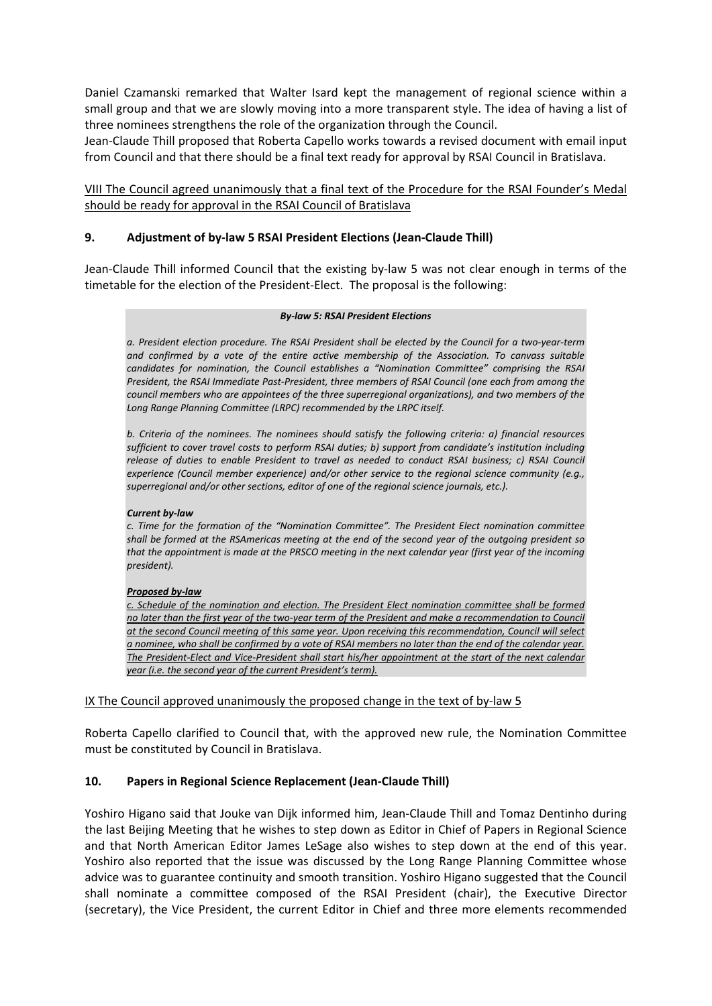Daniel Czamanski remarked that Walter Isard kept the management of regional science within a small group and that we are slowly moving into a more transparent style. The idea of having a list of three nominees strengthens the role of the organization through the Council.

Jean‐Claude Thill proposed that Roberta Capello works towards a revised document with email input from Council and that there should be a final text ready for approval by RSAI Council in Bratislava.

VIII The Council agreed unanimously that a final text of the Procedure for the RSAI Founder's Medal should be ready for approval in the RSAI Council of Bratislava

### **9. Adjustment of by‐law 5 RSAI President Elections (Jean‐Claude Thill)**

Jean‐Claude Thill informed Council that the existing by‐law 5 was not clear enough in terms of the timetable for the election of the President‐Elect. The proposal is the following:

#### *By‐law 5: RSAI President Elections*

a. President election procedure. The RSAI President shall be elected by the Council for a two-year-term *and confirmed by a vote of the entire active membership of the Association. To canvass suitable candidates for nomination, the Council establishes a "Nomination Committee" comprising the RSAI President, the RSAI Immediate Past‐President, three members of RSAI Council (one each from among the council members who are appointees of the three superregional organizations), and two members of the Long Range Planning Committee (LRPC) recommended by the LRPC itself.*

*b. Criteria of the nominees. The nominees should satisfy the following criteria: a) financial resources sufficient to cover travel costs to perform RSAI duties; b) support from candidate's institution including release of duties to enable President to travel as needed to conduct RSAI business; c) RSAI Council experience (Council member experience) and/or other service to the regional science community (e.g., superregional and/or other sections, editor of one of the regional science journals, etc.).*

### *Current by‐law*

*c. Time for the formation of the "Nomination Committee". The President Elect nomination committee* shall be formed at the RSAmericas meeting at the end of the second year of the outgoing president so that the appointment is made at the PRSCO meeting in the next calendar year (first year of the incoming *president).*

### *Proposed by‐law*

*c. Schedule of the nomination and election. The President Elect nomination committee shall be formed* no later than the first year of the two-year term of the President and make a recommendation to Council *at the second Council meeting of this same year. Upon receiving this recommendation, Council will select* a nominee, who shall be confirmed by a vote of RSAI members no later than the end of the calendar year. The President-Elect and Vice-President shall start his/her appointment at the start of the next calendar *year (i.e. the second year of the current President's term).*

IX The Council approved unanimously the proposed change in the text of by‐law 5

Roberta Capello clarified to Council that, with the approved new rule, the Nomination Committee must be constituted by Council in Bratislava.

### **10. Papers in Regional Science Replacement (Jean‐Claude Thill)**

Yoshiro Higano said that Jouke van Dijk informed him, Jean‐Claude Thill and Tomaz Dentinho during the last Beijing Meeting that he wishes to step down as Editor in Chief of Papers in Regional Science and that North American Editor James LeSage also wishes to step down at the end of this year. Yoshiro also reported that the issue was discussed by the Long Range Planning Committee whose advice was to guarantee continuity and smooth transition. Yoshiro Higano suggested that the Council shall nominate a committee composed of the RSAI President (chair), the Executive Director (secretary), the Vice President, the current Editor in Chief and three more elements recommended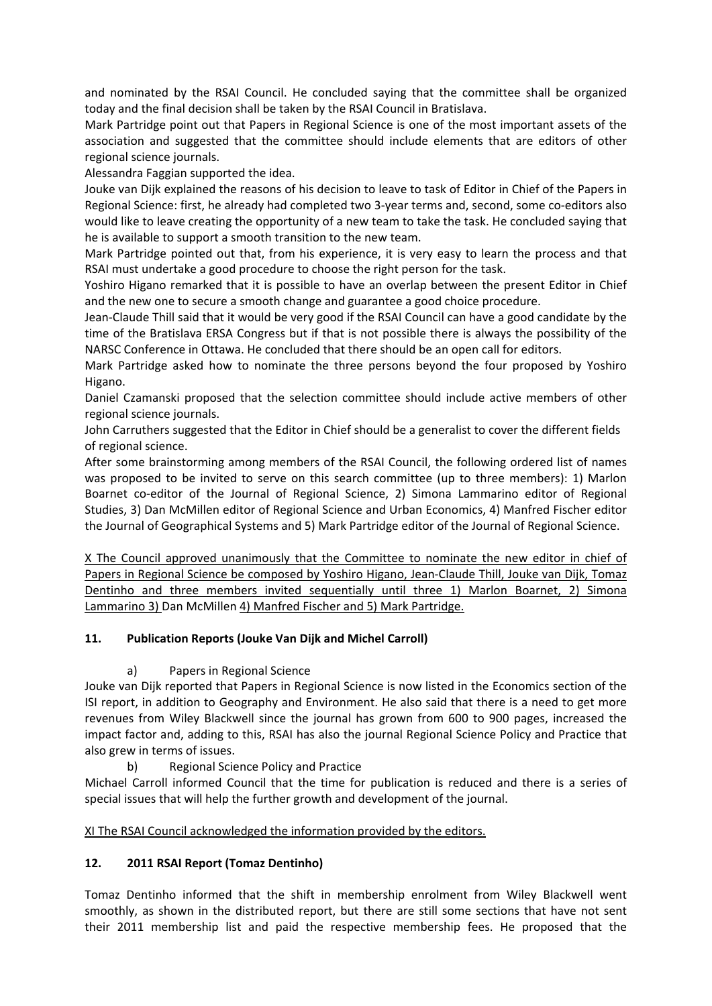and nominated by the RSAI Council. He concluded saying that the committee shall be organized today and the final decision shall be taken by the RSAI Council in Bratislava.

Mark Partridge point out that Papers in Regional Science is one of the most important assets of the association and suggested that the committee should include elements that are editors of other regional science journals.

Alessandra Faggian supported the idea.

Jouke van Dijk explained the reasons of his decision to leave to task of Editor in Chief of the Papers in Regional Science: first, he already had completed two 3‐year terms and, second, some co‐editors also would like to leave creating the opportunity of a new team to take the task. He concluded saying that he is available to support a smooth transition to the new team.

Mark Partridge pointed out that, from his experience, it is very easy to learn the process and that RSAI must undertake a good procedure to choose the right person for the task.

Yoshiro Higano remarked that it is possible to have an overlap between the present Editor in Chief and the new one to secure a smooth change and guarantee a good choice procedure.

Jean‐Claude Thill said that it would be very good if the RSAI Council can have a good candidate by the time of the Bratislava ERSA Congress but if that is not possible there is always the possibility of the NARSC Conference in Ottawa. He concluded that there should be an open call for editors.

Mark Partridge asked how to nominate the three persons beyond the four proposed by Yoshiro Higano.

Daniel Czamanski proposed that the selection committee should include active members of other regional science journals.

John Carruthers suggested that the Editor in Chief should be a generalist to cover the different fields of regional science.

After some brainstorming among members of the RSAI Council, the following ordered list of names was proposed to be invited to serve on this search committee (up to three members): 1) Marlon Boarnet co‐editor of the Journal of Regional Science, 2) Simona Lammarino editor of Regional Studies, 3) Dan McMillen editor of Regional Science and Urban Economics, 4) Manfred Fischer editor the Journal of Geographical Systems and 5) Mark Partridge editor of the Journal of Regional Science.

X The Council approved unanimously that the Committee to nominate the new editor in chief of Papers in Regional Science be composed by Yoshiro Higano, Jean‐Claude Thill, Jouke van Dijk, Tomaz Dentinho and three members invited sequentially until three 1) Marlon Boarnet, 2) Simona Lammarino 3) Dan McMillen 4) Manfred Fischer and 5) Mark Partridge.

# **11. Publication Reports (Jouke Van Dijk and Michel Carroll)**

# a) Papers in Regional Science

Jouke van Dijk reported that Papers in Regional Science is now listed in the Economics section of the ISI report, in addition to Geography and Environment. He also said that there is a need to get more revenues from Wiley Blackwell since the journal has grown from 600 to 900 pages, increased the impact factor and, adding to this, RSAI has also the journal Regional Science Policy and Practice that also grew in terms of issues.

b) Regional Science Policy and Practice

Michael Carroll informed Council that the time for publication is reduced and there is a series of special issues that will help the further growth and development of the journal.

# XI The RSAI Council acknowledged the information provided by the editors.

# **12. 2011 RSAI Report (Tomaz Dentinho)**

Tomaz Dentinho informed that the shift in membership enrolment from Wiley Blackwell went smoothly, as shown in the distributed report, but there are still some sections that have not sent their 2011 membership list and paid the respective membership fees. He proposed that the